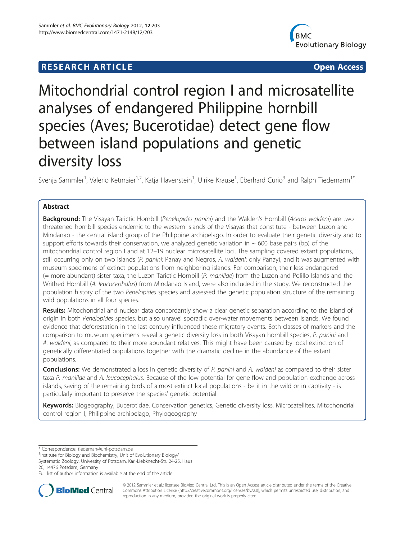## **RESEARCH ARTICLE Example 2014 12:30 THE Open Access**



# Mitochondrial control region I and microsatellite analyses of endangered Philippine hornbill species (Aves; Bucerotidae) detect gene flow between island populations and genetic diversity loss

Svenja Sammler<sup>1</sup>, Valerio Ketmaier<sup>1,2</sup>, Katja Havenstein<sup>1</sup>, Ulrike Krause<sup>1</sup>, Eberhard Curio<sup>3</sup> and Ralph Tiedemann<sup>1\*</sup>

## Abstract

Background: The Visayan Tarictic Hornbill (Penelopides panini) and the Walden's Hornbill (Aceros waldeni) are two threatened hornbill species endemic to the western islands of the Visayas that constitute - between Luzon and Mindanao - the central island group of the Philippine archipelago. In order to evaluate their genetic diversity and to support efforts towards their conservation, we analyzed genetic variation in  $\sim$  600 base pairs (bp) of the mitochondrial control region I and at 12–19 nuclear microsatellite loci. The sampling covered extant populations, still occurring only on two islands (P. panini: Panay and Negros, A. waldeni: only Panay), and it was augmented with museum specimens of extinct populations from neighboring islands. For comparison, their less endangered (= more abundant) sister taxa, the Luzon Tarictic Hornbill (P. manillae) from the Luzon and Polillo Islands and the Writhed Hornbill (A. leucocephalus) from Mindanao Island, were also included in the study. We reconstructed the population history of the two Penelopides species and assessed the genetic population structure of the remaining wild populations in all four species.

Results: Mitochondrial and nuclear data concordantly show a clear genetic separation according to the island of origin in both Penelopides species, but also unravel sporadic over-water movements between islands. We found evidence that deforestation in the last century influenced these migratory events. Both classes of markers and the comparison to museum specimens reveal a genetic diversity loss in both Visayan hornbill species, P. panini and A. waldeni, as compared to their more abundant relatives. This might have been caused by local extinction of genetically differentiated populations together with the dramatic decline in the abundance of the extant populations.

**Conclusions:** We demonstrated a loss in genetic diversity of P. panini and A. waldeni as compared to their sister taxa P. manillae and A. leucocephalus. Because of the low potential for gene flow and population exchange across islands, saving of the remaining birds of almost extinct local populations - be it in the wild or in captivity - is particularly important to preserve the species' genetic potential.

Keywords: Biogeography, Bucerotidae, Conservation genetics, Genetic diversity loss, Microsatellites, Mitochondrial control region I, Philippine archipelago, Phylogeography

\* Correspondence: [tiedeman@uni-potsdam.de](mailto:tiedeman@uni--tsdam.de) <sup>1</sup>

<sup>1</sup>Institute for Biology and Biochemistry, Unit of Evolutionary Biology/

Systematic Zoology, University of Potsdam, Karl-Liebknecht-Str. 24-25, Haus 26, 14476 Potsdam, Germany

Full list of author information is available at the end of the article



© 2012 Sammler et al.; licensee BioMed Central Ltd. This is an Open Access article distributed under the terms of the Creative Commons Attribution License [\(http://creativecommons.org/licenses/by/2.0\)](http://creativecommons.org/licenses/by/2.0), which permits unrestricted use, distribution, and reproduction in any medium, provided the original work is properly cited.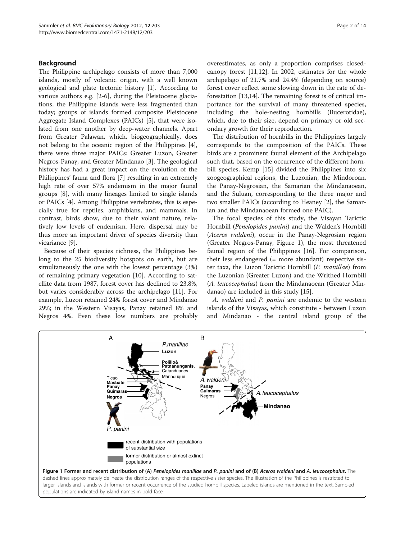## <span id="page-1-0"></span>Background

The Philippine archipelago consists of more than 7,000 islands, mostly of volcanic origin, with a well known geological and plate tectonic history [\[1\]](#page-12-0). According to various authors e.g. [[2-6](#page-12-0)], during the Pleistocene glaciations, the Philippine islands were less fragmented than today; groups of islands formed composite Pleistocene Aggregate Island Complexes (PAICs) [\[5](#page-12-0)], that were isolated from one another by deep-water channels. Apart from Greater Palawan, which, biogeographically, does not belong to the oceanic region of the Philippines [\[4](#page-12-0)], there were three major PAICs: Greater Luzon, Greater Negros-Panay, and Greater Mindanao [[3\]](#page-12-0). The geological history has had a great impact on the evolution of the Philippines' fauna and flora [[7\]](#page-12-0) resulting in an extremely high rate of over 57% endemism in the major faunal groups [[8\]](#page-12-0), with many lineages limited to single islands or PAICs [\[4](#page-12-0)]. Among Philippine vertebrates, this is especially true for reptiles, amphibians, and mammals. In contrast, birds show, due to their volant nature, relatively low levels of endemism. Here, dispersal may be thus more an important driver of species diversity than vicariance [[9](#page-12-0)].

Because of their species richness, the Philippines belong to the 25 biodiversity hotspots on earth, but are simultaneously the one with the lowest percentage (3%) of remaining primary vegetation [\[10](#page-12-0)]. According to satellite data from 1987, forest cover has declined to 23.8%, but varies considerably across the archipelago [\[11](#page-13-0)]. For example, Luzon retained 24% forest cover and Mindanao 29%; in the Western Visayas, Panay retained 8% and Negros 4%. Even these low numbers are probably overestimates, as only a proportion comprises closedcanopy forest [[11,12](#page-13-0)]. In 2002, estimates for the whole archipelago of 21.7% and 24.4% (depending on source) forest cover reflect some slowing down in the rate of deforestation [\[13,14](#page-13-0)]. The remaining forest is of critical importance for the survival of many threatened species, including the hole-nesting hornbills (Bucerotidae), which, due to their size, depend on primary or old secondary growth for their reproduction.

The distribution of hornbills in the Philippines largely corresponds to the composition of the PAICs. These birds are a prominent faunal element of the Archipelago such that, based on the occurrence of the different hornbill species, Kemp [[15\]](#page-13-0) divided the Philippines into six zoogeographical regions, the Luzonian, the Mindoroan, the Panay-Negrosian, the Samarian the Mindanaoean, and the Suluan, corresponding to the three major and two smaller PAICs (according to Heaney [[2\]](#page-12-0), the Samarian and the Mindanaoean formed one PAIC).

The focal species of this study, the Visayan Tarictic Hornbill (Penelopides panini) and the Walden's Hornbill (Aceros waldeni), occur in the Panay-Negrosian region (Greater Negros-Panay, Figure 1), the most threatened faunal region of the Philippines [[16](#page-13-0)]. For comparison, their less endangered (= more abundant) respective sister taxa, the Luzon Tarictic Hornbill (P. manillae) from the Luzonian (Greater Luzon) and the Writhed Hornbill (A. leucocephalus) from the Mindanaoean (Greater Mindanao) are included in this study [\[15](#page-13-0)].

A. waldeni and P. panini are endemic to the western islands of the Visayas, which constitute - between Luzon and Mindanao - the central island group of the

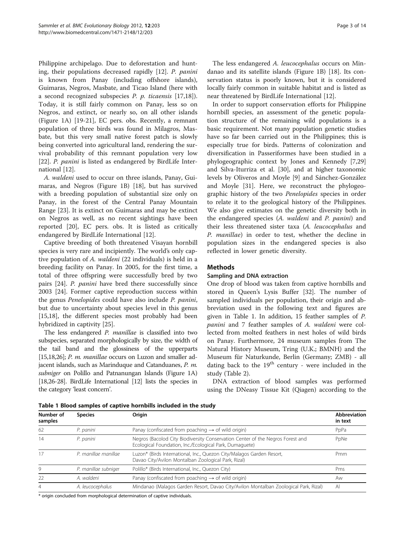Philippine archipelago. Due to deforestation and hunting, their populations decreased rapidly [\[12](#page-13-0)]. P. panini is known from Panay (including offshore islands), Guimaras, Negros, Masbate, and Ticao Island (here with a second recognized subspecies P. p. ticaensis [\[17,18](#page-13-0)]). Today, it is still fairly common on Panay, less so on Negros, and extinct, or nearly so, on all other islands (Figure [1A\)](#page-1-0) [\[19](#page-13-0)-[21\]](#page-13-0), EC pers. obs. Recently, a remnant population of three birds was found in Milagros, Masbate, but this very small native forest patch is slowly being converted into agricultural land, rendering the survival probability of this remnant population very low [[22\]](#page-13-0). *P. panini* is listed as endangered by BirdLife International [[12\]](#page-13-0).

A. waldeni used to occur on three islands, Panay, Guimaras, and Negros (Figure [1B\)](#page-1-0) [[18\]](#page-13-0), but has survived with a breeding population of substantial size only on Panay, in the forest of the Central Panay Mountain Range [[23\]](#page-13-0). It is extinct on Guimaras and may be extinct on Negros as well, as no recent sightings have been reported [[20\]](#page-13-0), EC pers. obs. It is listed as critically endangered by BirdLife International [[12\]](#page-13-0).

Captive breeding of both threatened Visayan hornbill species is very rare and incipiently. The world's only captive population of A. waldeni (22 individuals) is held in a breeding facility on Panay. In 2005, for the first time, a total of three offspring were successfully bred by two pairs [[24\]](#page-13-0). P. panini have bred there successfully since 2003 [\[24\]](#page-13-0). Former captive reproduction success within the genus Penelopides could have also include P. panini, but due to uncertainty about species level in this genus [[15,18\]](#page-13-0), the different species most probably had been hybridized in captivity [[25\]](#page-13-0).

The less endangered P. manillae is classified into two subspecies, separated morphologically by size, the width of the tail band and the glossiness of the upperparts [[15,18,26](#page-13-0)]; P. m. manillae occurs on Luzon and smaller adjacent islands, such as Marinduque and Catanduanes, P. m. subniger on Polillo and Patnanungan Islands (Figure [1A](#page-1-0)) [[18,26-28](#page-13-0)]. BirdLife International [\[12](#page-13-0)] lists the species in the category 'least concern'.

The less endangered A. leucocephalus occurs on Mindanao and its satellite islands (Figure [1B](#page-1-0)) [[18](#page-13-0)]. Its conservation status is poorly known, but it is considered locally fairly common in suitable habitat and is listed as near threatened by BirdLife International [\[12\]](#page-13-0).

In order to support conservation efforts for Philippine hornbill species, an assessment of the genetic population structure of the remaining wild populations is a basic requirement. Not many population genetic studies have so far been carried out in the Philippines; this is especially true for birds. Patterns of colonization and diversification in Passeriformes have been studied in a phylogeographic context by Jones and Kennedy [[7](#page-12-0),[29](#page-13-0)] and Silva-Iturriza et al. [\[30\]](#page-13-0), and at higher taxonomic levels by Oliveros and Moyle [\[9](#page-12-0)] and Sánchez-González and Moyle [\[31](#page-13-0)]. Here, we reconstruct the phylogeographic history of the two Penelopides species in order to relate it to the geological history of the Philippines. We also give estimates on the genetic diversity both in the endangered species (A. waldeni and P. panini) and their less threatened sister taxa (A. leucocephalus and P. manillae) in order to test, whether the decline in population sizes in the endangered species is also reflected in lower genetic diversity.

## Methods

## Sampling and DNA extraction

One drop of blood was taken from captive hornbills and stored in Queen's Lysis Buffer [[32\]](#page-13-0). The number of sampled individuals per population, their origin and abbreviation used in the following text and figures are given in Table 1. In addition, 15 feather samples of P. panini and 7 feather samples of A. waldeni were collected from molted feathers in nest holes of wild birds on Panay. Furthermore, 24 museum samples from The Natural History Museum, Tring (U.K.; BMNH) and the Museum für Naturkunde, Berlin (Germany; ZMB) - all dating back to the  $19<sup>th</sup>$  century - were included in the study (Table [2\)](#page-3-0).

DNA extraction of blood samples was performed using the DNeasy Tissue Kit (Qiagen) according to the

Table 1 Blood samples of captive hornbills included in the study

| Number of<br>samples | <b>Species</b>       | Origin                                                                                                                                    | Abbreviation<br>in text |  |
|----------------------|----------------------|-------------------------------------------------------------------------------------------------------------------------------------------|-------------------------|--|
| 62                   | P. panini            | Panay (confiscated from poaching $\rightarrow$ of wild origin)                                                                            | PpPa                    |  |
| 14                   | P. panini            | Negros (Bacolod City Biodiversity Conservation Center of the Negros Forest and<br>Ecological Foundation, Inc./Ecological Park, Dumaguete) | PpNe                    |  |
| 17                   | P. manillae manillae | Luzon* (Birds International, Inc., Quezon City/Malagos Garden Resort,<br>Davao City/Avilon Montalban Zoological Park, Rizal)              | Pmm                     |  |
| 9                    | P. manillae subniger | Polillo* (Birds International, Inc., Quezon City)                                                                                         | Pms                     |  |
| 22                   | A. waldeni           | Panay (confiscated from poaching $\rightarrow$ of wild origin)                                                                            | Aw                      |  |
| 4                    | A. leucocephalus     | Mindanao (Malagos Garden Resort, Davao City/Avilon Montalban Zoological Park, Rizal)                                                      | Al                      |  |

\* origin concluded from morphological determination of captive individuals.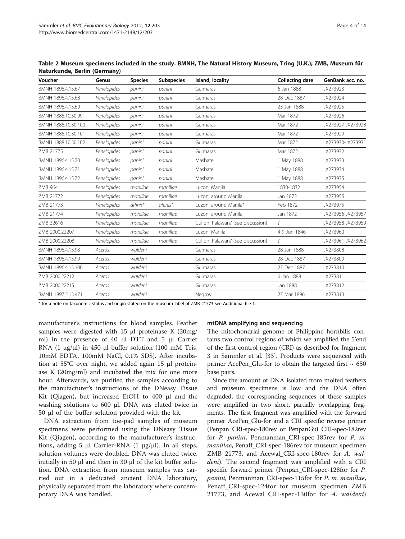| <b>Voucher</b>      | Genus       | <b>Species</b> | <b>Subspecies</b> | Island, locality                  | <b>Collecting date</b>   | GenBank acc. no.  |
|---------------------|-------------|----------------|-------------------|-----------------------------------|--------------------------|-------------------|
| BMNH 1896.4.15.67   | Penelopides | panini         | panini            | Guimaras                          | 6 Jan 1888               | JX273923          |
| BMNH 1896.4.15.68   | Penelopides | panini         | panini            | Guimaras                          | 28 Dec 1887              | JX273924          |
| BMNH 1896.4.15.69   | Penelopides | panini         | panini            | Guimaras                          | 23 Jan 1888              | JX273925          |
| BMNH 1888.10.30.99  | Penelopides | panini         | panini            | Guimaras                          | Mar 1872                 | JX273926          |
| BMNH 1888.10.30.100 | Penelopides | panini         | panini            | Guimaras                          | Mar 1872                 | JX273927-JX273928 |
| BMNH 1888.10.30.101 | Penelopides | panini         | panini            | Guimaras                          | Mar 1872                 | JX273929          |
| BMNH 1888.10.30.102 | Penelopides | panini         | panini            | Guimaras                          | Mar 1872                 | JX273930-JX273931 |
| ZMB 21775           | Penelopides | panini         | panini            | Guimaras                          | Mar 1872                 | JX273932          |
| BMNH 1896.4.15.70   | Penelopides | panini         | panini            | Masbate                           | 1 May 1888               | JX273933          |
| BMNH 1896.4.15.71   | Penelopides | panini         | panini            | Masbate                           | 1 May 1888               | JX273934          |
| BMNH 1896.4.15.72   | Penelopides | panini         | panini            | Masbate                           | 1 May 1888               | JX273935          |
| ZMB 9641            | Penelopides | manillae       | manillae          | Luzon, Manila                     | 1830-1832                | JX273954          |
| ZMB 21772           | Penelopides | manillae       | manillae          | Luzon, around Manila              | Jan 1872                 | JX273955          |
| ZMB 21773           | Penelopides | affinis*       | affinis*          | Luzon, around Manila*             | Feb 1872                 | JX273975          |
| ZMB 21774           | Penelopides | manillae       | manillae          | Luzon, around Manila              | Jan 1872                 | JX273956-JX273957 |
| ZMB 32616           | Penelopides | manillae       | manillae          | Culion, Palawan? (see discussion) | $\overline{?}$           | JX273958-JX273959 |
| ZMB 2000.22207      | Penelopides | manillae       | manillae          | Luzon, Manila                     | 4-9 Jun 1846             | JX273960          |
| ZMB 2000.22208      | Penelopides | manillae       | manillae          | Culion, Palawan? (see discussion) | $\overline{\mathcal{E}}$ | JX273961-JX273962 |
| BMNH 1896.4.15.98   | Aceros      | waldeni        |                   | Guimaras                          | 28 Jan 1888              | JX273808          |
| BMNH 1896.4.15.99   | Aceros      | waldeni        |                   | Guimaras                          | 28 Dec 1887              | JX273809          |
| BMNH 1896.4.15.100  | Aceros      | waldeni        |                   | Guimaras                          | 27 Dec 1887              | JX273810          |
| ZMB 2000.22212      | Aceros      | waldeni        |                   | Guimaras                          | 6 Jan 1888               | JX273811          |
| ZMB 2000.22215      | Aceros      | waldeni        |                   | Guimaras                          | Jan 1888                 | JX273812          |
| BMNH 1897.5.13.471  | Aceros      | waldeni        |                   | Negros                            | 27 Mar 1896              | JX273813          |

<span id="page-3-0"></span>Table 2 Museum specimens included in the study. BMNH, The Natural History Museum, Tring (U.K.); ZMB, Museum für Naturkunde, Berlin (Germany)

\* for a note on taxonomic status and origin stated on the museum label of ZMB 21773 see Additional file [1.](#page-12-0)

manufacturer's instructions for blood samples. Feather samples were digested with 15 μl proteinase K (20mg/ ml) in the presence of 40 μl DTT and 5 μl Carrier RNA (1 μg/μl) in 450 μl buffer solution (100 mM Tris, 10mM EDTA, 100mM NaCl, 0.1% SDS). After incubation at 55°C over night, we added again 15 μl proteinase K (20mg/ml) and incubated the mix for one more hour. Afterwards, we purified the samples according to the manufacturer's instructions of the DNeasy Tissue Kit (Qiagen), but increased EtOH to 400 μl and the washing solutions to 600 μl. DNA was eluted twice in 50 μl of the buffer solution provided with the kit.

DNA extraction from toe-pad samples of museum specimens were performed using the DNeasy Tissue Kit (Qiagen), according to the manufacturer's instructions, adding 5 μl Carrier-RNA (1 μg/μl). In all steps, solution volumes were doubled. DNA was eluted twice, initially in 50 μl and then in 30 μl of the kit buffer solution. DNA extraction from museum samples was carried out in a dedicated ancient DNA laboratory, physically separated from the laboratory where contemporary DNA was handled.

#### mtDNA amplifying and sequencing

The mitochondrial genome of Philippine hornbills contains two control regions of which we amplified the 5'end of the first control region (CRI) as described for fragment 3 in Sammler et al. [\[33\]](#page-13-0). Products were sequenced with primer AcePen\_Glu-for to obtain the targeted first  $\sim 650$ base pairs.

Since the amount of DNA isolated from molted feathers and museum specimens is low and the DNA often degraded, the corresponding sequences of these samples were amplified in two short, partially overlapping fragments. The first fragment was amplified with the forward primer AcePen\_Glu-for and a CRI specific reverse primer (Penpan\_CRI-spec-180rev or PenpanGui\_CRI-spec-182rev for P. panini, Penmanman\_CRI-spec-185rev for P. m. manillae, Penaff\_CRI-spec-186rev for museum specimen ZMB 21773, and Acewal\_CRI-spec-180rev for A. waldeni). The second fragment was amplified with a CRI specific forward primer (Penpan\_CRI-spec-128for for P. panini, Penmanman\_CRI-spec-115for for P. m. manillae, Penaff\_CRI-spec-124for for museum specimen ZMB 21773, and Acewal\_CRI-spec-130for for A. waldeni)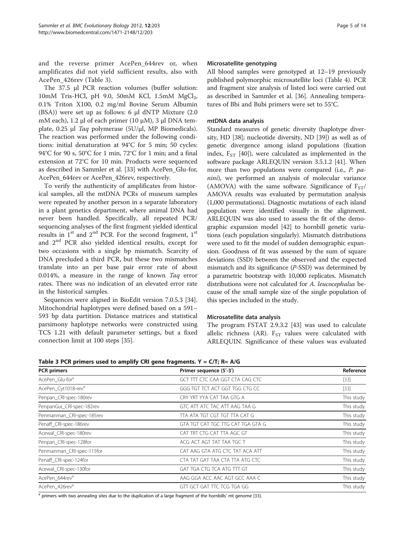and the reverse primer AcePen\_644rev or, when amplificates did not yield sufficient results, also with AcePen\_426rev (Table 3).

The 37.5 μl PCR reaction volumes (buffer solution: 10mM Tris-HCl, pH 9.0, 50mM KCl, 1.5mM  $MgCl<sub>2</sub>$ , 0.1% Triton X100, 0.2 mg/ml Bovine Serum Albumin (BSA)) were set up as follows: 6 μl dNTP Mixture (2.0 mM each), 1.2 μl of each primer (10  $\mu$ M), 3 μl DNA template, 0.25 μl Taq polymerase (5U/μl, MP Biomedicals). The reaction was performed under the following conditions: initial denaturation at 94°C for 5 min; 50 cycles: 94°C for 90 s, 50°C for 1 min, 72°C for 1 min; and a final extension at 72°C for 10 min. Products were sequenced as described in Sammler et al. [\[33\]](#page-13-0) with AcePen\_Glu-for, AcePen\_644rev or AcePen\_426rev, respectively.

To verify the authenticity of amplificates from historical samples, all the mtDNA PCRs of museum samples were repeated by another person in a separate laboratory in a plant genetics department, where animal DNA had never been handled. Specifically, all repeated PCR/ sequencing analyses of the first fragment yielded identical results in  $1<sup>st</sup>$  and  $2<sup>nd</sup>$  PCR. For the second fragment,  $1<sup>st</sup>$ and 2nd PCR also yielded identical results, except for two occasions with a single bp mismatch. Scarcity of DNA precluded a third PCR, but these two mismatches translate into an per base pair error rate of about 0.014%, a measure in the range of known Taq error rates. There was no indication of an elevated error rate in the historical samples.

Sequences were aligned in BioEdit version 7.0.5.3 [\[34](#page-13-0)]. Mitochondrial haplotypes were defined based on a 591– 593 bp data partition. Distance matrices and statistical parsimony haplotype networks were constructed using TCS 1.21 with default parameter settings, but a fixed connection limit at 100 steps [[35\]](#page-13-0).

#### Microsatellite genotyping

All blood samples were genotyped at 12–19 previously published polymorphic microsatellite loci (Table [4\)](#page-5-0). PCR and fragment size analysis of listed loci were carried out as described in Sammler et al. [\[36](#page-13-0)]. Annealing temperatures of Bbi and Bubi primers were set to 55°C.

#### mtDNA data analysis

Standard measures of genetic diversity (haplotype diversity, HD [\[38\]](#page-13-0); nucleotide diversity, ND [[39](#page-13-0)]) as well as of genetic divergence among island populations (fixation index,  $F_{ST}$  [\[40\]](#page-13-0)), were calculated as implemented in the software package ARLEQUIN version 3.5.1.2 [\[41\]](#page-13-0). When more than two populations were compared (i.e., P. panini), we performed an analysis of molecular variance (AMOVA) with the same software. Significance of  $F<sub>ST</sub>$ / AMOVA results was evaluated by permutation analysis (1,000 permutations). Diagnostic mutations of each island population were identified visually in the alignment. ARLEQUIN was also used to assess the fit of the demographic expansion model [[42](#page-13-0)] to hornbill genetic variations (each population singularly). Mismatch distributions were used to fit the model of sudden demographic expansion. Goodness of fit was assessed by the sum of square deviations (SSD) between the observed and the expected mismatch and its significance (P-SSD) was determined by a parametric bootstrap with 10,000 replicates. Mismatch distributions were not calculated for A. leucocephalus because of the small sample size of the single population of this species included in the study.

## Microsatellite data analysis

The program FSTAT 2.9.3.2 [[43\]](#page-13-0) was used to calculate allelic richness (AR).  $F_{ST}$  values were calculated with ARLEQUIN. Significance of these values was evaluated

| <b>PCR</b> primers              | Primer sequence (5'-3')           | Reference  |  |
|---------------------------------|-----------------------------------|------------|--|
| AcePen Glu-for <sup>a</sup>     | GCT TTT CTC CAA GGT CTA CAG CTC   | $[33]$     |  |
| AcePen_Cyt1018-rev <sup>a</sup> | GGG TGT TCT ACT GGT TGG CTG CC    | $[33]$     |  |
| Penpan_CRI-spec-180rev          | CRY YRT YYA CAT TAA GTG A         | This study |  |
| PenpanGui_CRI-spec-182rev       | GTC ATT ATC TAC ATT AAG TAA G     | This study |  |
| Penmanman_CRI-spec-185rev       | TTA ATA TGT CGT TGT TTA CAT G     | This study |  |
| Penaff_CRI-spec-186rev          | GTA TGT CAT TGC TTG CAT TGA GTA G | This study |  |
| Acewal_CRI-spec-180rev          | CAT TRT CTG CAT TTA AGC GT        | This study |  |
| Penpan_CRI-spec-128for          | ACG ACT AGT TAT TAA TGC T         | This study |  |
| Penmanman_CRI-spec-115for       | CAT AAG GTA ATG CTC TAT ACA ATT   | This study |  |
| Penaff_CRI-spec-124for          | CTA TAT GAT TAA CTA TTA ATG CTC   | This study |  |
| Acewal_CRI-spec-130for          | GAT TGA CTG TCA ATG TTT GT        | This study |  |
| AcePen_644rev <sup>a</sup>      | AAG GGA ACC AAC AGT GCC AAA C     | This study |  |
| AcePen 426rev <sup>a</sup>      | GTT GCT GAT TTC TCG TGA GG        | This study |  |

Table 3 PCR primers used to amplify CRI gene fragments.  $Y = C/T$ ; R= A/G

<sup>a</sup> primers with two annealing sites due to the duplication of a large fragment of the hornbills' mt genome [[33\]](#page-13-0).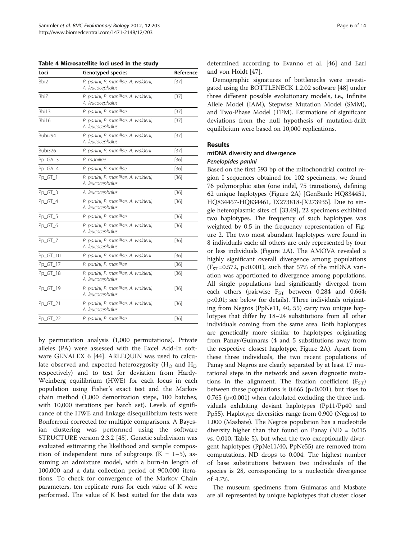<span id="page-5-0"></span>Table 4 Microsatellite loci used in the study

| Loci     | Genotyped species                                       | Reference |  |  |
|----------|---------------------------------------------------------|-----------|--|--|
| Bbi2     | P. panini, P. manillae, A. waldeni,<br>A. leucocephalus | $[37]$    |  |  |
| Bbi7     | P. panini, P. manillae, A. waldeni,<br>A. leucocephalus | $[37]$    |  |  |
| Bbi13    | P. panini, P. manillae                                  | $[37]$    |  |  |
| Bbi16    | P. panini, P. manillae, A. waldeni,<br>A. leucocephalus | $[37]$    |  |  |
| Bubi294  | P. panini, P. manillae, A. waldeni,<br>A. leucocephalus | $[37]$    |  |  |
| Bubi326  | P. panini, P. manillae, A. waldeni                      | $[37]$    |  |  |
| Pp_GA_3  | P. manillae                                             | $[36]$    |  |  |
| Pp_GA_4  | P. panini, P. manillae                                  | [36]      |  |  |
| Pp_GT_1  | P. panini, P. manillae, A. waldeni,<br>A. leucocephalus | $[36]$    |  |  |
| Pp_GT_3  | A. leucocephalus                                        | $[36]$    |  |  |
| Pp GT 4  | P. panini, P. manillae, A. waldeni,<br>A. leucocephalus | $[36]$    |  |  |
| Pp GT 5  | P. panini, P. manillae                                  | $[36]$    |  |  |
| Pp_GT_6  | P. panini, P. manillae, A. waldeni,<br>A. leucocephalus | $[36]$    |  |  |
| Pp_GT_7  | P. panini, P. manillae, A. waldeni,<br>A. leucocephalus | [36]      |  |  |
| Pp_GT_10 | P. panini, P. manillae, A. waldeni                      | $[36]$    |  |  |
| Pp_GT_17 | P. panini, P. manillae                                  | $[36]$    |  |  |
| Pp_GT_18 | P. panini, P. manillae, A. waldeni,<br>A. leucocephalus | [36]      |  |  |
| Pp_GT_19 | P. panini, P. manillae, A. waldeni,<br>A. leucocephalus | $[36]$    |  |  |
| Pp_GT_21 | P. panini, P. manillae, A. waldeni,<br>A. leucocephalus | $[36]$    |  |  |
| Pp_GT_22 | P. panini, P. manillae                                  | $[36]$    |  |  |

by permutation analysis (1,000 permutations). Private alleles (PA) were assessed with the Excel Add-In software GENALEX 6 [\[44](#page-13-0)]. ARLEQUIN was used to calculate observed and expected heterozygosity ( $H_{\Omega}$  and  $H_{E}$ , respectively) and to test for deviation from Hardy-Weinberg equilibrium (HWE) for each locus in each population using Fisher's exact test and the Markov chain method (1,000 demorization steps, 100 batches, with 10,000 iterations per batch set). Levels of significance of the HWE and linkage disequilibrium tests were Bonferroni corrected for multiple comparisons. A Bayesian clustering was performed using the software STRUCTURE version 2.3.2 [[45\]](#page-13-0). Genetic subdivision was evaluated estimating the likelihood and sample composition of independent runs of subgroups ( $K = 1-5$ ), assuming an admixture model, with a burn-in length of 100,000 and a data collection period of 900,000 iterations. To check for convergence of the Markov Chain parameters, ten replicate runs for each value of K were performed. The value of K best suited for the data was determined according to Evanno et al. [\[46\]](#page-13-0) and Earl and von Holdt [\[47](#page-13-0)].

Demographic signatures of bottlenecks were investigated using the BOTTLENECK 1.2.02 software [\[48](#page-13-0)] under three different possible evolutionary models, i.e., Infinite Allele Model (IAM), Stepwise Mutation Model (SMM), and Two-Phase Model (TPM). Estimations of significant deviations from the null hypothesis of mutation-drift equilibrium were based on 10,000 replications.

## Results

## mtDNA diversity and divergence Penelopides panini

Based on the first 593 bp of the mitochondrial control region I sequences obtained for 102 specimens, we found 76 polymorphic sites (one indel, 75 transitions), defining 62 unique haplotypes (Figure [2A\)](#page-6-0) [GenBank: HQ834451, HQ834457-HQ834461, JX273818-JX273935]. Due to single heteroplasmic sites cf. [[33,49\]](#page-13-0), 22 specimens exhibited two haplotypes. The frequency of such haplotypes was weighted by 0.5 in the frequency representation of Figure [2](#page-6-0). The two most abundant haplotypes were found in 8 individuals each; all others are only represented by four or less individuals (Figure [2A](#page-6-0)). The AMOVA revealed a highly significant overall divergence among populations  $(F<sub>ST</sub>=0.572, p<0.001)$ , such that 57% of the mtDNA variation was apportioned to divergence among populations. All single populations had significantly diverged from each others (pairwise  $F_{ST}$  between 0.284 and 0.664; p<0.01; see below for details). Three individuals originating from Negros (PpNe11, 40, 55) carry two unique haplotypes that differ by 18–24 substitutions from all other individuals coming from the same area. Both haplotypes are genetically more similar to haplotypes originating from Panay/Guimaras (4 and 5 substitutions away from the respective closest haplotype, Figure [2A\)](#page-6-0). Apart from these three individuals, the two recent populations of Panay and Negros are clearly separated by at least 17 mutational steps in the network and seven diagnostic mutations in the alignment. The fixation coefficient  $(F_{ST})$ between these populations is 0.665 ( $p<0.001$ ), but rises to  $0.765$  ( $p<0.001$ ) when calculated excluding the three individuals exhibiting deviant haplotypes (Pp11/Pp40 and Pp55). Haplotype diversities range from 0.900 (Negros) to 1.000 (Masbate). The Negros population has a nucleotide diversity higher than that found on Panay ( $ND = 0.015$ ) vs. 0.010, Table [5\)](#page-7-0), but when the two exceptionally divergent haplotypes (PpNe11/40, PpNe55) are removed from computations, ND drops to 0.004. The highest number of base substitutions between two individuals of the species is 28, corresponding to a nucleotide divergence of 4.7%.

The museum specimens from Guimaras and Masbate are all represented by unique haplotypes that cluster closer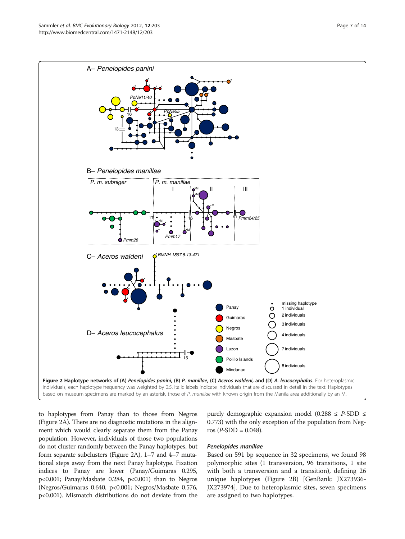<span id="page-6-0"></span>

to haplotypes from Panay than to those from Negros (Figure 2A). There are no diagnostic mutations in the alignment which would clearly separate them from the Panay population. However, individuals of those two populations do not cluster randomly between the Panay haplotypes, but form separate subclusters (Figure 2A), 1–7 and 4–7 mutational steps away from the next Panay haplotype. Fixation indices to Panay are lower (Panay/Guimaras 0.295, p<0.001; Panay/Masbate 0.284, p<0.001) than to Negros (Negros/Guimaras 0.640, p<0.001; Negros/Masbate 0.576, p<0.001). Mismatch distributions do not deviate from the

purely demographic expansion model (0.288 ≤ P-SDD ≤ 0.773) with the only exception of the population from Negros ( $P$ -SDD = 0.048).

## Penelopides manillae

Based on 591 bp sequence in 32 specimens, we found 98 polymorphic sites (1 transversion, 96 transitions, 1 site with both a transversion and a transition), defining 26 unique haplotypes (Figure 2B) [GenBank: JX273936- JX273974]. Due to heteroplasmic sites, seven specimens are assigned to two haplotypes.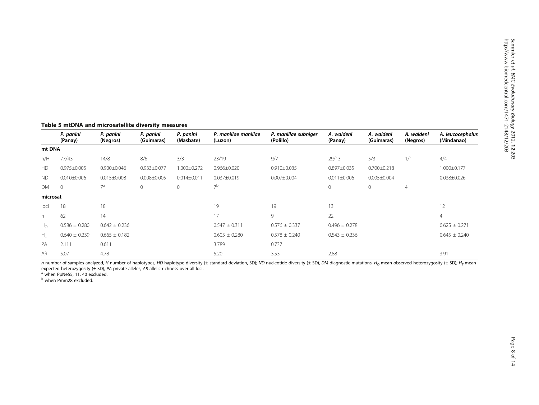## <span id="page-7-0"></span>Table 5 mtDNA and microsatellite diversity measures

|             | P. panini<br>(Panay) | P. panini<br>(Negros) | P. panini<br>(Guimaras) | P. panini<br>(Masbate) | P. manillae manillae<br>(Luzon) | P. manillae subniger<br>(Polillo) | A. waldeni<br>(Panay) | A. waldeni<br>(Guimaras) | A. waldeni<br>(Negros) | A. leucocephalus<br>(Mindanao) |
|-------------|----------------------|-----------------------|-------------------------|------------------------|---------------------------------|-----------------------------------|-----------------------|--------------------------|------------------------|--------------------------------|
| mt DNA      |                      |                       |                         |                        |                                 |                                   |                       |                          |                        |                                |
| n/H         | 77/43                | 14/8                  | 8/6                     | 3/3                    | 23/19                           | 9/7                               | 29/13                 | 5/3                      | 1/1                    | 4/4                            |
| HD          | $0.975 \pm 0.005$    | $0.900 \pm 0.046$     | $0.933 \pm 0.077$       | 1.000±0.272            | $0.966 \pm 0.020$               | $0.910 \pm 0.035$                 | $0.897 + 0.035$       | $0.700 \pm 0.218$        |                        | 1.000±0.177                    |
| <b>ND</b>   | $0.010 \pm 0.006$    | $0.015 \pm 0.008$     | $0.008 \pm 0.005$       | $0.014 \pm 0.011$      | $0.037 + 0.019$                 | $0.007 + 0.004$                   | $0.011 \pm 0.006$     | $0.005 \pm 0.004$        |                        | $0.038 + 0.026$                |
| DM          | $\overline{0}$       | 7 <sup>a</sup>        | $\mathbf{0}$            | $\mathbf{0}$           | 7 <sup>b</sup>                  |                                   | $\mathbf 0$           | $\circ$                  | 4                      |                                |
| microsat    |                      |                       |                         |                        |                                 |                                   |                       |                          |                        |                                |
| loci        | 18                   | 18                    |                         |                        | 19                              | 19                                | 13                    |                          |                        | 12                             |
| n           | 62                   | 14                    |                         |                        | 17                              | 9                                 | 22                    |                          |                        | $\overline{4}$                 |
| $H_{\odot}$ | $0.586 \pm 0.280$    | $0.642 \pm 0.236$     |                         |                        | $0.547 \pm 0.311$               | $0.576 \pm 0.337$                 | $0.496 \pm 0.278$     |                          |                        | $0.625 \pm 0.271$              |
| $H_E$       | $0.640 \pm 0.239$    | $0.665 \pm 0.182$     |                         |                        | $0.605 \pm 0.280$               | $0.578 \pm 0.240$                 | $0.543 \pm 0.236$     |                          |                        | $0.645 \pm 0.240$              |
| PA          | 2.111                | 0.611                 |                         |                        | 3.789                           | 0.737                             |                       |                          |                        |                                |
| AR          | 5.07                 | 4.78                  |                         |                        | 5.20                            | 3.53                              | 2.88                  |                          |                        | 3.91                           |

n number of samples analyzed, H number of haplotypes, HD haplotype diversity (± standard deviation, SD); ND nucleotide diversity (± SD), DM diagnostic mutations, H<sub>O</sub> mean observed heterozygosity (± SD); H<sub>E</sub> mean expected heterozygosity ( $\pm$  SD), PA private alleles, AR allelic richness over all loci. a when PpNe55, 11, 40 excluded.

b when Pmm28 excluded.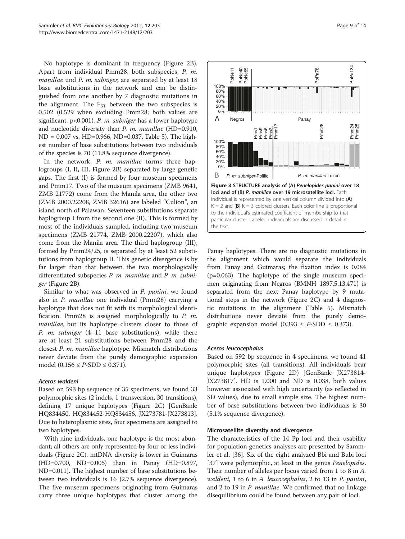<span id="page-8-0"></span>No haplotype is dominant in frequency (Figure [2B](#page-6-0)). Apart from individual Pmm28, both subspecies, P. m. manillae und P. m. subniger, are separated by at least 18 base substitutions in the network and can be distinguished from one another by 7 diagnostic mutations in the alignment. The  $F_{ST}$  between the two subspecies is 0.502 (0.529 when excluding Pmm28; both values are significant, p<0.001). P. m. subniger has a lower haplotype and nucleotide diversity than P. m. manillae (HD=0.910, ND = 0.007 vs. HD=0.966, ND=0.037, Table [5](#page-7-0)). The highest number of base substitutions between two individuals of the species is 70 (11.8% sequence divergence).

In the network, P. m. manillae forms three haplogroups (I, II, III, Figure [2B\)](#page-6-0) separated by large genetic gaps. The first (I) is formed by four museum specimens and Pmm17. Two of the museum specimens (ZMB 9641, ZMB 21772) come from the Manila area, the other two (ZMB 2000.22208, ZMB 32616) are labeled "Culion", an island north of Palawan. Seventeen substitutions separate haplogroup I from the second one (II). This is formed by most of the individuals sampled, including two museum specimens (ZMB 21774, ZMB 2000.22207), which also come from the Manila area. The third haplogroup (III), formed by Pmm24/25, is separated by at least 52 substitutions from haplogroup II. This genetic divergence is by far larger than that between the two morphologically differentiated subspecies P. m. manillae and P. m. subniger (Figure [2B](#page-6-0)).

Similar to what was observed in P. panini, we found also in P. manillae one individual (Pmm28) carrying a haplotype that does not fit with its morphological identification. Pmm28 is assigned morphologically to P. m. manillae, but its haplotype clusters closer to those of P. m. subniger (4–11 base substitutions), while there are at least 21 substitutions between Pmm28 and the closest P. m. manillae haplotype. Mismatch distributions never deviate from the purely demographic expansion model (0.156 ≤ *P*-SDD ≤ 0.371).

## Aceros waldeni

Based on 593 bp sequence of 35 specimens, we found 33 polymorphic sites (2 indels, 1 transversion, 30 transitions), defining 17 unique haplotypes (Figure [2C\)](#page-6-0) [GenBank: HQ834450, HQ834452-HQ834456, JX273781-JX273813]. Due to heteroplasmic sites, four specimens are assigned to two haplotypes.

With nine individuals, one haplotype is the most abundant; all others are only represented by four or less individuals (Figure [2C](#page-6-0)). mtDNA diversity is lower in Guimaras (HD=0.700, ND=0.005) than in Panay (HD=0.897, ND=0.011). The highest number of base substitutions between two individuals is 16 (2.7% sequence divergence). The five museum specimens originating from Guimaras carry three unique haplotypes that cluster among the



Panay haplotypes. There are no diagnostic mutations in the alignment which would separate the individuals from Panay and Guimaras; the fixation index is 0.084 (p=0.063). The haplotype of the single museum specimen originating from Negros (BMNH 1897.5.13.471) is separated from the next Panay haplotype by 9 mutational steps in the network (Figure [2C\)](#page-6-0) and 4 diagnostic mutations in the alignment (Table [5](#page-7-0)). Mismatch distributions never deviate from the purely demographic expansion model  $(0.393 \leq P\text{-SDD} \leq 0.373)$ .

## Aceros leucocephalus

Based on 592 bp sequence in 4 specimens, we found 41 polymorphic sites (all transitions). All individuals bear unique haplotypes (Figure [2D\)](#page-6-0) [GenBank: JX273814- JX273817]. HD is 1.000 and ND is 0.038, both values however associated with high uncertainty (as reflected in SD values), due to small sample size. The highest number of base substitutions between two individuals is 30 (5.1% sequence divergence).

#### Microsatellite diversity and divergence

The characteristics of the 14 Pp loci and their usability for population genetics analyses are presented by Sammler et al. [[36](#page-13-0)]. Six of the eight analyzed Bbi and Bubi loci [[37\]](#page-13-0) were polymorphic, at least in the genus *Penelopides*. Their number of alleles per locus varied from 1 to 8 in A. waldeni, 1 to 6 in A. leucocephalus, 2 to 13 in P. panini, and 2 to 19 in P. *manillae*. We confirmed that no linkage disequilibrium could be found between any pair of loci.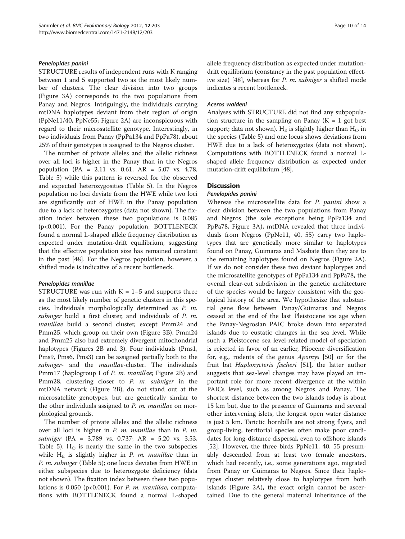## Penelopides panini

STRUCTURE results of independent runs with K ranging between 1 and 5 supported two as the most likely number of clusters. The clear division into two groups (Figure [3A\)](#page-8-0) corresponds to the two populations from Panay and Negros. Intriguingly, the individuals carrying mtDNA haplotypes deviant from their region of origin (PpNe11/40, PpNe55; Figure [2A](#page-6-0)) are inconspicuous with regard to their microsatellite genotype. Interestingly, in two individuals from Panay (PpPa134 and PpPa78), about 25% of their genotypes is assigned to the Negros cluster.

The number of private alleles and the allelic richness over all loci is higher in the Panay than in the Negros population (PA = 2.11 vs. 0.61; AR = 5.07 vs. 4.78, Table [5\)](#page-7-0) while this pattern is reversed for the observed and expected heterozygosities (Table [5\)](#page-7-0). In the Negros population no loci deviate from the HWE while two loci are significantly out of HWE in the Panay population due to a lack of heterozygotes (data not shown). The fixation index between these two populations is 0.085 (p<0.001). For the Panay population, BOTTLENECK found a normal L-shaped allele frequency distribution as expected under mutation-drift equilibrium, suggesting that the effective population size has remained constant in the past [\[48](#page-13-0)]. For the Negros population, however, a shifted mode is indicative of a recent bottleneck.

## Penelopides manillae

STRUCTURE was run with  $K = 1-5$  and supports three as the most likely number of genetic clusters in this species. Individuals morphologically determined as P. m. subniger build a first cluster, and individuals of P. m. manillae build a second cluster, except Pmm24 and Pmm25, which group on their own (Figure [3B](#page-8-0)). Pmm24 and Pmm25 also had extremely divergent mitochondrial haplotypes (Figures [2B](#page-6-0) and [3](#page-8-0)). Four individuals (Pms1, Pms9, Pms6, Pms3) can be assigned partially both to the subniger- and the manillae-cluster. The individuals Pmm17 (haplogroup I of P. m. manillae; Figure [2B\)](#page-6-0) and Pmm28, clustering closer to P. m. subniger in the mtDNA network (Figure [2B\)](#page-6-0), do not stand out at the microsatellite genotypes, but are genetically similar to the other individuals assigned to P. m. manillae on morphological grounds.

The number of private alleles and the allelic richness over all loci is higher in *P. m. manillae* than in *P. m.* subniger (PA = 3.789 vs. 0.737; AR = 5.20 vs. 3.53, Table [5](#page-7-0)).  $H<sub>O</sub>$  is nearly the same in the two subspecies while  $H_E$  is slightly higher in *P. m. manillae* than in P. m. subniger (Table [5](#page-7-0)); one locus deviates from HWE in either subspecies due to heterozygote deficiency (data not shown). The fixation index between these two populations is 0.050 (p<0.001). For P. m. manillae, computations with BOTTLENECK found a normal L-shaped allele frequency distribution as expected under mutationdrift equilibrium (constancy in the past population effective size) [[48](#page-13-0)], whereas for P. m. subniger a shifted mode indicates a recent bottleneck.

## Aceros waldeni

Analyses with STRUCTURE did not find any subpopulation structure in the sampling on Panay  $(K = 1)$  got best support; data not shown). H<sub>E</sub> is slightly higher than H<sub>O</sub> in the species (Table [5\)](#page-7-0) and one locus shows deviations from HWE due to a lack of heterozygotes (data not shown). Computations with BOTTLENECK found a normal Lshaped allele frequency distribution as expected under mutation-drift equilibrium [[48](#page-13-0)].

## **Discussion**

## Penelopides panini

Whereas the microsatellite data for P. panini show a clear division between the two populations from Panay and Negros (the sole exceptions being PpPa134 and PpPa78, Figure [3A](#page-8-0)), mtDNA revealed that three individuals from Negros (PpNe11, 40, 55) carry two haplotypes that are genetically more similar to haplotypes found on Panay, Guimaras and Masbate than they are to the remaining haplotypes found on Negros (Figure [2A](#page-6-0)). If we do not consider these two deviant haplotypes and the microsatellite genotypes of PpPa134 and PpPa78, the overall clear-cut subdivision in the genetic architecture of the species would be largely consistent with the geological history of the area. We hypothesize that substantial gene flow between Panay/Guimaras and Negros ceased at the end of the last Pleistocene ice age when the Panay-Negrosian PAIC broke down into separated islands due to eustatic changes in the sea level. While such a Pleistocene sea level-related model of speciation is rejected in favor of an earlier, Pliocene diversification for, e.g., rodents of the genus Apomys [[50\]](#page-13-0) or for the fruit bat Haplonycteris fischeri [\[51](#page-13-0)], the latter author suggests that sea-level changes may have played an important role for more recent divergence at the within PAICs level, such as among Negros and Panay. The shortest distance between the two islands today is about 15 km but, due to the presence of Guimaras and several other intervening islets, the longest open water distance is just 5 km. Tarictic hornbills are not strong flyers, and group-living, territorial species often make poor candidates for long-distance dispersal, even to offshore islands [[52\]](#page-13-0). However, the three birds PpNe11, 40, 55 presumably descended from at least two female ancestors, which had recently, i.e., some generations ago, migrated from Panay or Guimaras to Negros. Since their haplotypes cluster relatively close to haplotypes from both islands (Figure [2A](#page-6-0)), the exact origin cannot be ascertained. Due to the general maternal inheritance of the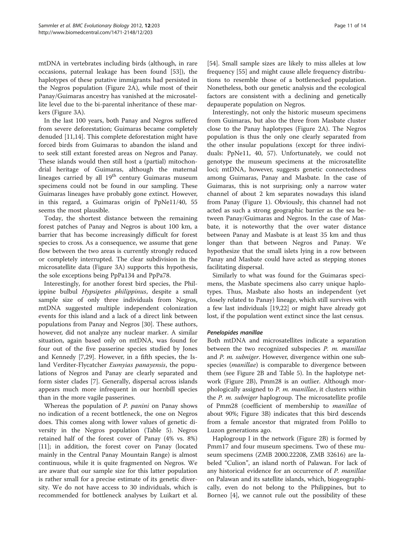mtDNA in vertebrates including birds (although, in rare occasions, paternal leakage has been found [[53\]](#page-13-0)), the haplotypes of these putative immigrants had persisted in the Negros population (Figure [2A\)](#page-6-0), while most of their Panay/Guimaras ancestry has vanished at the microsatellite level due to the bi-parental inheritance of these markers (Figure [3A](#page-8-0)).

In the last 100 years, both Panay and Negros suffered from severe deforestation; Guimaras became completely denuded [[11,14\]](#page-13-0). This complete deforestation might have forced birds from Guimaras to abandon the island and to seek still extant forested areas on Negros and Panay. These islands would then still host a (partial) mitochondrial heritage of Guimaras, although the maternal lineages carried by all  $19<sup>th</sup>$  century Guimaras museum specimens could not be found in our sampling. These Guimaras lineages have probably gone extinct. However, in this regard, a Guimaras origin of PpNe11/40, 55 seems the most plausible.

Today, the shortest distance between the remaining forest patches of Panay and Negros is about 100 km, a barrier that has become increasingly difficult for forest species to cross. As a consequence, we assume that gene flow between the two areas is currently strongly reduced or completely interrupted. The clear subdivision in the microsatellite data (Figure [3A\)](#page-8-0) supports this hypothesis, the sole exceptions being PpPa134 and PpPa78.

Interestingly, for another forest bird species, the Philippine bulbul Hypsipetes philippinus, despite a small sample size of only three individuals from Negros, mtDNA suggested multiple independent colonization events for this island and a lack of a direct link between populations from Panay and Negros [[30](#page-13-0)]. These authors, however, did not analyze any nuclear marker. A similar situation, again based only on mtDNA, was found for four out of the five passerine species studied by Jones and Kennedy [[7,](#page-12-0)[29\]](#page-13-0). However, in a fifth species, the Island Verditer-Flycatcher Eumyias panayensis, the populations of Negros and Panay are clearly separated and form sister clades [\[7](#page-12-0)]. Generally, dispersal across islands appears much more infrequent in our hornbill species than in the more vagile passerines.

Whereas the population of P. panini on Panay shows no indication of a recent bottleneck, the one on Negros does. This comes along with lower values of genetic diversity in the Negros population (Table [5](#page-7-0)). Negros retained half of the forest cover of Panay (4% vs. 8%) [[11\]](#page-13-0); in addition, the forest cover on Panay (located mainly in the Central Panay Mountain Range) is almost continuous, while it is quite fragmented on Negros. We are aware that our sample size for this latter population is rather small for a precise estimate of its genetic diversity. We do not have access to 30 individuals, which is recommended for bottleneck analyses by Luikart et al.

[[54\]](#page-13-0). Small sample sizes are likely to miss alleles at low frequency [[55\]](#page-13-0) and might cause allele frequency distributions to resemble those of a bottlenecked population. Nonetheless, both our genetic analysis and the ecological factors are consistent with a declining and genetically depauperate population on Negros.

Interestingly, not only the historic museum specimens from Guimaras, but also the three from Masbate cluster close to the Panay haplotypes (Figure [2A\)](#page-6-0). The Negros population is thus the only one clearly separated from the other insular populations (except for three individuals: PpNe11, 40, 57). Unfortunately, we could not genotype the museum specimens at the microsatellite loci; mtDNA, however, suggests genetic connectedness among Guimaras, Panay and Masbate. In the case of Guimaras, this is not surprising; only a narrow water channel of about 2 km separates nowadays this island from Panay (Figure [1\)](#page-1-0). Obviously, this channel had not acted as such a strong geographic barrier as the sea between Panay/Guimaras and Negros. In the case of Masbate, it is noteworthy that the over water distance between Panay and Masbate is at least 35 km and thus longer than that between Negros and Panay. We hypothesize that the small islets lying in a row between Panay and Masbate could have acted as stepping stones facilitating dispersal.

Similarly to what was found for the Guimaras specimens, the Masbate specimens also carry unique haplotypes. Thus, Masbate also hosts an independent (yet closely related to Panay) lineage, which still survives with a few last individuals [\[19,22](#page-13-0)] or might have already got lost, if the population went extinct since the last census.

## Penelopides manillae

Both mtDNA and microsatellites indicate a separation between the two recognized subspecies P. m. manillae and P. m. subniger. However, divergence within one subspecies (manillae) is comparable to divergence between them (see Figure [2B](#page-6-0) and Table [5](#page-7-0)). In the haplotype network (Figure [2B](#page-6-0)), Pmm28 is an outlier. Although morphologically assigned to P. m. manillae, it clusters within the *P. m. subniger* haplogroup. The microsatellite profile of Pmm28 (coefficient of membership to manillae of about 90%; Figure [3B](#page-8-0)) indicates that this bird descends from a female ancestor that migrated from Polillo to Luzon generations ago.

Haplogroup I in the network (Figure [2B\)](#page-6-0) is formed by Pmm17 and four museum specimens. Two of these museum specimens (ZMB 2000.22208, ZMB 32616) are labeled "Culion", an island north of Palawan. For lack of any historical evidence for an occurrence of P. manillae on Palawan and its satellite islands, which, biogeographically, even do not belong to the Philippines, but to Borneo [[4\]](#page-12-0), we cannot rule out the possibility of these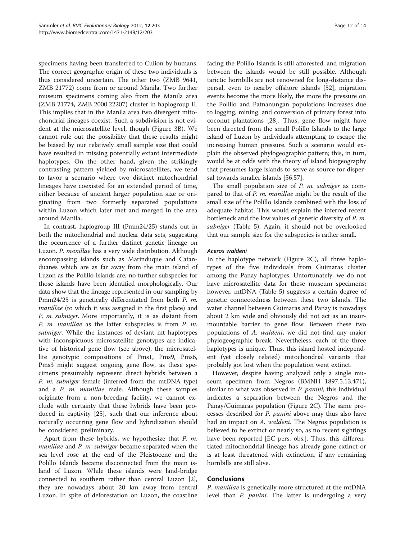specimens having been transferred to Culion by humans. The correct geographic origin of these two individuals is thus considered uncertain. The other two (ZMB 9641, ZMB 21772) come from or around Manila. Two further museum specimens coming also from the Manila area (ZMB 21774, ZMB 2000.22207) cluster in haplogroup II. This implies that in the Manila area two divergent mitochondrial lineages coexist. Such a subdivision is not evident at the microsatellite level, though (Figure [3B\)](#page-8-0). We cannot rule out the possibility that these results might be biased by our relatively small sample size that could have resulted in missing potentially extant intermediate haplotypes. On the other hand, given the strikingly contrasting pattern yielded by microsatellites, we tend to favor a scenario where two distinct mitochondrial lineages have coexisted for an extended period of time, either because of ancient larger population size or originating from two formerly separated populations within Luzon which later met and merged in the area around Manila.

In contrast, haplogroup III (Pmm24/25) stands out in both the mitochondrial and nuclear data sets, suggesting the occurrence of a further distinct genetic lineage on Luzon. P. manillae has a very wide distribution. Although encompassing islands such as Marinduque and Catanduanes which are as far away from the main island of Luzon as the Polillo Islands are, no further subspecies for those islands have been identified morphologically. Our data show that the lineage represented in our sampling by Pmm24/25 is genetically differentiated from both P. m. manillae (to which it was assigned in the first place) and P. m. subniger. More importantly, it is as distant from P. m. manillae as the latter subspecies is from P. m. subniger. While the instances of deviant mt haplotypes with inconspicuous microsatellite genotypes are indicative of historical gene flow (see above), the microsatellite genotypic compositions of Pms1, Pms9, Pms6, Pms3 might suggest ongoing gene flow, as these specimens presumably represent direct hybrids between a P. m. subniger female (inferred from the mtDNA type) and a P. m. manillae male. Although these samples originate from a non-breeding facility, we cannot exclude with certainty that these hybrids have been produced in captivity [\[25](#page-13-0)], such that our inference about naturally occurring gene flow and hybridization should be considered preliminary.

Apart from these hybrids, we hypothesize that P. m. manillae and P. m. subniger became separated when the sea level rose at the end of the Pleistocene and the Polillo Islands became disconnected from the main island of Luzon. While these islands were land-bridge connected to southern rather than central Luzon [\[2](#page-12-0)], they are nowadays about 20 km away from central Luzon. In spite of deforestation on Luzon, the coastline facing the Polillo Islands is still afforested, and migration between the islands would be still possible. Although tarictic hornbills are not renowned for long-distance dispersal, even to nearby offshore islands [[52\]](#page-13-0), migration events become the more likely, the more the pressure on the Polillo and Patnanungan populations increases due to logging, mining, and conversion of primary forest into coconut plantations [\[28\]](#page-13-0). Thus, gene flow might have been directed from the small Polillo Islands to the large island of Luzon by individuals attempting to escape the increasing human pressure. Such a scenario would explain the observed phylogeographic pattern; this, in turn, would be at odds with the theory of island biogeography that presumes large islands to serve as source for dispersal towards smaller islands [[56,57\]](#page-13-0).

The small population size of P. m. subniger as compared to that of P. m. manillae might be the result of the small size of the Polillo Islands combined with the loss of adequate habitat. This would explain the inferred recent bottleneck and the low values of genetic diversity of P. m. subniger (Table [5](#page-7-0)). Again, it should not be overlooked that our sample size for the subspecies is rather small.

## Aceros waldeni

In the haplotype network (Figure [2C\)](#page-6-0), all three haplotypes of the five individuals from Guimaras cluster among the Panay haplotypes. Unfortunately, we do not have microsatellite data for these museum specimens; however, mtDNA (Table [5](#page-7-0)) suggests a certain degree of genetic connectedness between these two islands. The water channel between Guimaras and Panay is nowadays about 2 km wide and obviously did not act as an insurmountable barrier to gene flow. Between these two populations of A. waldeni, we did not find any major phylogeographic break. Nevertheless, each of the three haplotypes is unique. Thus, this island hosted independent (yet closely related) mitochondrial variants that probably got lost when the population went extinct.

However, despite having analyzed only a single museum specimen from Negros (BMNH 1897.5.13.471), similar to what was observed in *P. panini*, this individual indicates a separation between the Negros and the Panay/Guimaras population (Figure [2C\)](#page-6-0). The same processes described for *P. panini* above may thus also have had an impact on A. *waldeni*. The Negros population is believed to be extinct or nearly so, as no recent sightings have been reported [EC pers. obs.]. Thus, this differentiated mitochondrial lineage has already gone extinct or is at least threatened with extinction, if any remaining hornbills are still alive.

## Conclusions

P. manillae is genetically more structured at the mtDNA level than P. panini. The latter is undergoing a very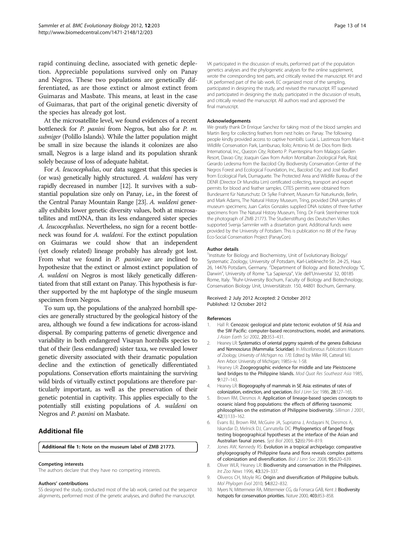<span id="page-12-0"></span>rapid continuing decline, associated with genetic depletion. Appreciable populations survived only on Panay and Negros. These two populations are genetically differentiated, as are those extinct or almost extinct from Guimaras and Masbate. This means, at least in the case of Guimaras, that part of the original genetic diversity of the species has already got lost.

At the microsatellite level, we found evidences of a recent bottleneck for P. panini from Negros, but also for P. m. subniger (Polillo Islands). While the latter population might be small in size because the islands it colonizes are also small, Negros is a large island and its population shrank solely because of loss of adequate habitat.

For A. leucocephalus, our data suggest that this species is (or was) genetically highly structured. A. waldeni has very rapidly decreased in number [[12](#page-13-0)]. It survives with a substantial population size only on Panay, i.e., in the forest of the Central Panay Mountain Range [[23](#page-13-0)]. A. waldeni generally exhibits lower genetic diversity values, both at microsatellites and mtDNA, than its less endangered sister species A. leucocephalus. Nevertheless, no sign for a recent bottleneck was found for A. waldeni. For the extinct population on Guimaras we could show that an independent (yet closely related) lineage probably has already got lost. From what we found in *P. panini*, we are inclined to hypothesize that the extinct or almost extinct population of A. waldeni on Negros is most likely genetically differentiated from that still extant on Panay. This hypothesis is further supported by the mt haplotype of the single museum specimen from Negros.

To sum up, the populations of the analyzed hornbill species are generally structured by the geological history of the area, although we found a few indications for across-island dispersal. By comparing patterns of genetic divergence and variability in both endangered Visayan hornbills species to that of their (less endangered) sister taxa, we revealed lower genetic diversity associated with their dramatic population decline and the extinction of genetically differentiated populations. Conservation efforts maintaining the surviving wild birds of virtually extinct populations are therefore particularly important, as well as the preservation of their genetic potential in captivity. This applies especially to the potentially still existing populations of A. waldeni on Negros and P. panini on Masbate.

## Additional file

[Additional file 1:](http://www.biomedcentral.com/content/supplementary/1471-2148-12-203-S1.doc) Note on the museum label of ZMB 21773.

#### Competing interests

The authors declare that they have no competing interests.

#### Authors' contributions

SS designed the study, conducted most of the lab work, carried out the sequence alignments, performed most of the genetic analyses, and drafted the manuscript.

VK participated in the discussion of results, performed part of the population genetics analyses and the phylogenetic analyses for the online supplement, wrote the corresponding text parts, and critically revised the manuscript. KH and UK performed part of the lab work. EC organized most of the sampling, participated in designing the study, and revised the manuscript. RT supervised and participated in designing the study, participated in the discussion of results, and critically revised the manuscript. All authors read and approved the final manuscript.

#### Acknowledgements

We greatly thank Dr Enrique Sanchez for taking most of the blood samples and Martin Berg for collecting feathers from nest holes on Panay. The following people kindly provided access to captive hornbills: Lucia L. Lastimoza from Mari-it Wildlife Conservation Park, Lambunao, Iloilo; Antonio M. de Dios from Birds International, Inc., Quezon City; Roberto P. Puentespina from Malagos Garden Resort, Davao City; Joaquin Gaw from Avilon Montalban Zoological Park, Rizal; Gerardo Ledesma from the Bacolod City Biodiversity Conservation Center of the Negros Forest and Ecological Foundation, Inc., Bacolod City; and José Bouffard from Ecological Park, Dumaguete. The Protected Area and Wildlife Bureau of the DENR (Director Dr Mundita Lim) certificated collecting, transport and export permits for blood and feather samples. CITES permits were obtained from Bundesamt für Naturschutz. Dr Sylke Frahnert, Museum für Naturkunde, Berlin, and Mark Adams, The Natural History Museum, Tring, provided DNA samples of museum specimens; Juan Carlos Gonzales supplied DNA isolates of three further specimens from The Natural History Museum, Tring. Dr Frank Steinheimer took the photograph of ZMB 21773. The Studienstiftung des Deutschen Volkes supported Svenja Sammler with a dissertation grant. Additional funds were provided by the University of Potsdam. This is publication no 88 of the Panay Eco-Social Conservation Project (PanayCon).

#### Author details

<sup>1</sup>Institute for Biology and Biochemistry, Unit of Evolutionary Biology/ Systematic Zoology, University of Potsdam, Karl-Liebknecht-Str. 24-25, Haus 26, 14476 Potsdam, Germany. <sup>2</sup> Department of Biology and Biotechnology "C Darwin", University of Rome "La Sapienza", V.le dell'Universita' 32, 00185 Rome, Italy. <sup>3</sup>Ruhr-University Bochum, Faculty of Biology and Biotechnology, Conservation Biology Unit, Universitätsstr. 150, 44801 Bochum, Germany.

#### Received: 2 July 2012 Accepted: 2 October 2012 Published: 12 October 2012

#### References

- 1. Hall R: Cenozoic geological and plate tectonic evolution of SE Asia and the SW Pacific: computer-based reconstructions, model, and animations. J Asian Earth Sci 2002, 20:353–431.
- 2. Heaney LR: Systematics of oriental pygmy squirrels of the genera Exilisciurus and Nannosciurus (Mammalia: Sciuridae). In Miscellaneous Publications Museum of Zoology, University of Michigan no. 170. Edited by Miller RR, Catterall MJ. Ann Arbor: University of Michigan; 1985:i-iv. 1-58.
- 3. Heaney LR: Zoogeographic evidence for middle and late Pleistocene land bridges to the Philippine Islands. Mod Quat Res Southeast Asia 1985, 9:127–143.
- 4. Heaney LR: Biogeography of mammals in SE Asia: estimates of rates of colonization, extinction, and speciation. Biol J Linn Soc 1986, 28:127-165.
- Brown RM, Diesmos A: Application of lineage-based species concepts to oceanic island frog populations: the effects of differing taxonomic philosophies on the estimation of Philippine biodiversity. Silliman J 2001, 42(1):133–162.
- 6. Evans BJ, Brown RM, McGuire JA, Supriatna J, Andayani N, Diesmos A, Iskandar D, Melnick DJ, Cannatella DC: Phylogenetics of fanged frogs: testing biogeographical hypotheses at the interface of the Asian and Australian faunal zones. Syst Biol 2003, 52(6):794–819.
- 7. Jones AW, Kennedy RS: Evolution in a tropical archipelago: comparative phylogeography of Philippine fauna and flora reveals complex patterns of colonization and diversification. Biol J Linn Soc 2008, 95:620–639.
- 8. Oliver WLR, Heaney LR: Biodiversity and conservation in the Philippines. Int Zoo News 1996, 43:329–337.
- 9. Oliveros CH, Moyle RG: Origin and diversification of Philippine bulbuls. Mol Phylogen Evol 2010, 54:822–832.
- 10. Myers N, Mittermeier RA, Mittermeier CG, da Fonseca GAB, Kent J: Biodiversity hotspots for conservation priorities. Nature 2000, 403:853–858.